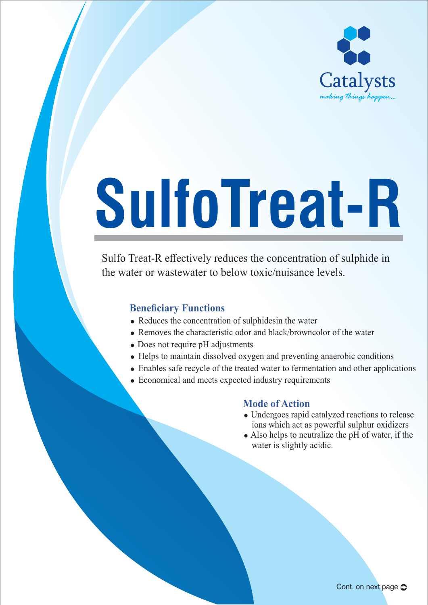

# **SulfoTreat-R**

Sulfo Treat-R effectively reduces the concentration of sulphide in the water or wastewater to below toxic/nuisance levels.

# **Beneficiary Functions**

- $\bullet$  Reduces the concentration of sulphidesin the water
- Removes the characteristic odor and black/browncolor of the water
- Does not require pH adjustments
- Helps to maintain dissolved oxygen and preventing anaerobic conditions
- Enables safe recycle of the treated water to fermentation and other applications
- Economical and meets expected industry requirements

### **Mode of Action**

- Undergoes rapid catalyzed reactions to release ions which act as powerful sulphur oxidizers
- Also helps to neutralize the pH of water, if the water is slightly acidic.